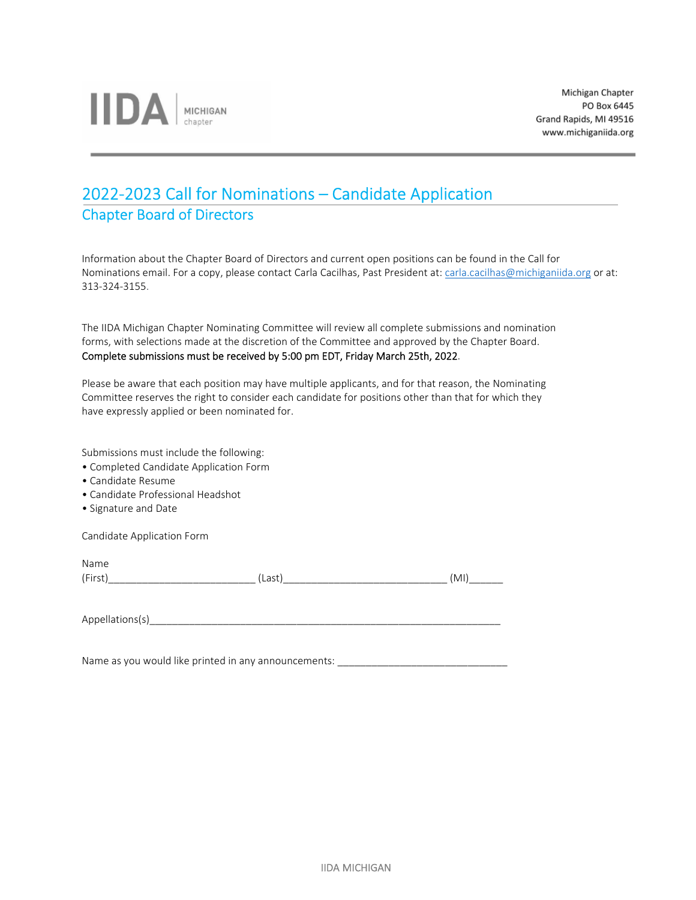

## 2022-2023 Call for Nominations – Candidate Application Chapter Board of Directors

Information about the Chapter Board of Directors and current open positions can be found in the Call for Nominations email. For a copy, please contact Carla Cacilhas, Past President at: carla.cacilhas@michiganiida.org or at: 313-324-3155.

The IIDA Michigan Chapter Nominating Committee will review all complete submissions and nomination forms, with selections made at the discretion of the Committee and approved by the Chapter Board. Complete submissions must be received by 5:00 pm EDT, Friday March 25th, 2022.

Please be aware that each position may have multiple applicants, and for that reason, the Nominating Committee reserves the right to consider each candidate for positions other than that for which they have expressly applied or been nominated for.

Submissions must include the following:

- Completed Candidate Application Form
- Candidate Resume
- Candidate Professional Headshot
- Signature and Date

Candidate Application Form

| Name    |        |      |
|---------|--------|------|
| (First) | `Last) | (MI) |
|         |        |      |

Appellations(s)\_

Name as you would like printed in any announcements: \_\_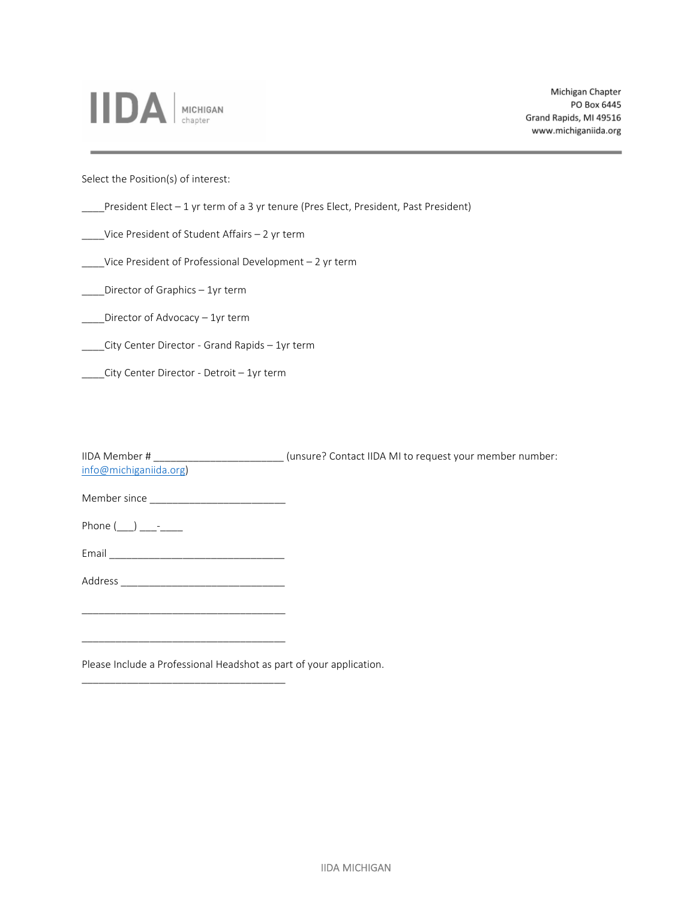

Michigan Chapter PO Box 6445 Grand Rapids, MI 49516 www.michiganiida.org

Select the Position(s) of interest:

- \_\_\_\_President Elect 1 yr term of a 3 yr tenure (Pres Elect, President, Past President)
- Vice President of Student Affairs 2 yr term
- \_\_\_\_Vice President of Professional Development 2 yr term
- Director of Graphics 1yr term
- \_\_\_\_Director of Advocacy 1yr term
- \_\_\_\_City Center Director Grand Rapids 1yr term
- \_\_\_\_City Center Director Detroit 1yr term

IIDA Member # \_\_\_\_\_\_\_\_\_\_\_\_\_\_\_\_\_\_\_\_\_\_\_ (unsure? Contact IIDA MI to request your member number: info@michiganiida.org)

Member since \_\_\_\_\_\_\_\_\_\_\_\_\_\_\_\_\_\_\_\_\_\_\_\_

Phone  $(\_\_) \_\_$ -

Email \_\_\_\_\_\_\_\_\_\_\_\_\_\_\_\_\_\_\_\_\_\_\_\_\_\_\_\_\_\_\_

Address \_\_\_\_\_\_\_\_\_\_\_\_\_\_\_\_\_\_\_\_\_\_\_\_\_\_\_\_\_

\_\_\_\_\_\_\_\_\_\_\_\_\_\_\_\_\_\_\_\_\_\_\_\_\_\_\_\_\_\_\_\_\_\_\_\_

\_\_\_\_\_\_\_\_\_\_\_\_\_\_\_\_\_\_\_\_\_\_\_\_\_\_\_\_\_\_\_\_\_\_\_\_

\_\_\_\_\_\_\_\_\_\_\_\_\_\_\_\_\_\_\_\_\_\_\_\_\_\_\_\_\_\_\_\_\_\_\_\_

Please Include a Professional Headshot as part of your application.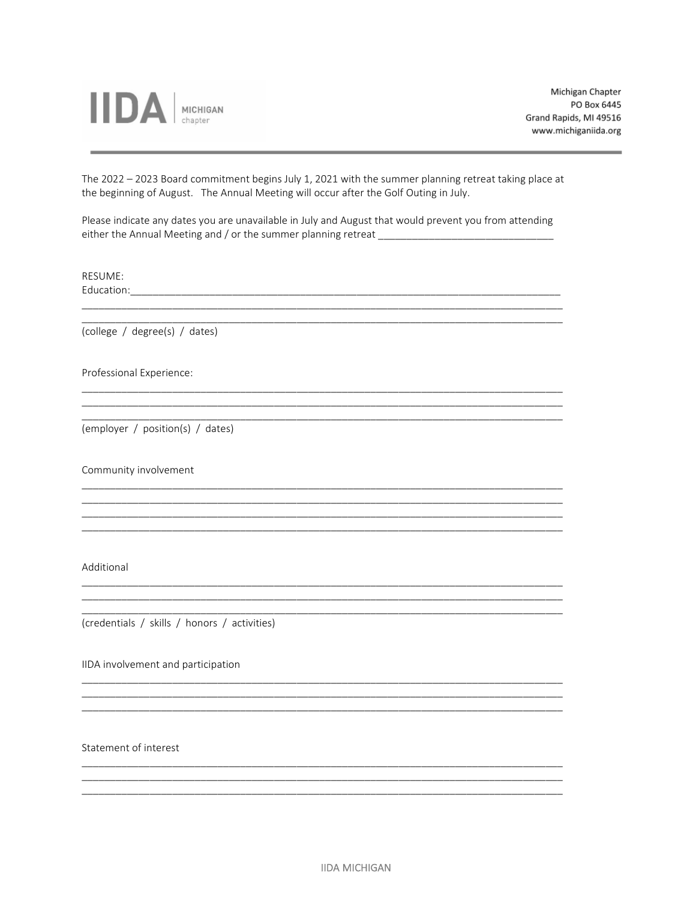

Michigan Chapter PO Box 6445 Grand Rapids, MI 49516 www.michiganiida.org

The 2022 - 2023 Board commitment begins July 1, 2021 with the summer planning retreat taking place at the beginning of August. The Annual Meeting will occur after the Golf Outing in July.

Please indicate any dates you are unavailable in July and August that would prevent you from attending either the Annual Meeting and / or the summer planning retreat \_\_\_\_\_\_\_\_\_\_\_\_\_\_\_\_\_\_\_\_\_\_\_\_

RESUME:

Education:

(college / degree(s) / dates)

Professional Experience:

(employer / position(s) / dates)

Community involvement

Additional

(credentials / skills / honors / activities)

IIDA involvement and participation

Statement of interest

<u> 1989 - Johann John Stoff, deutscher Stoff als der Stoff als der Stoff als der Stoff als der Stoff als der Stoff</u>